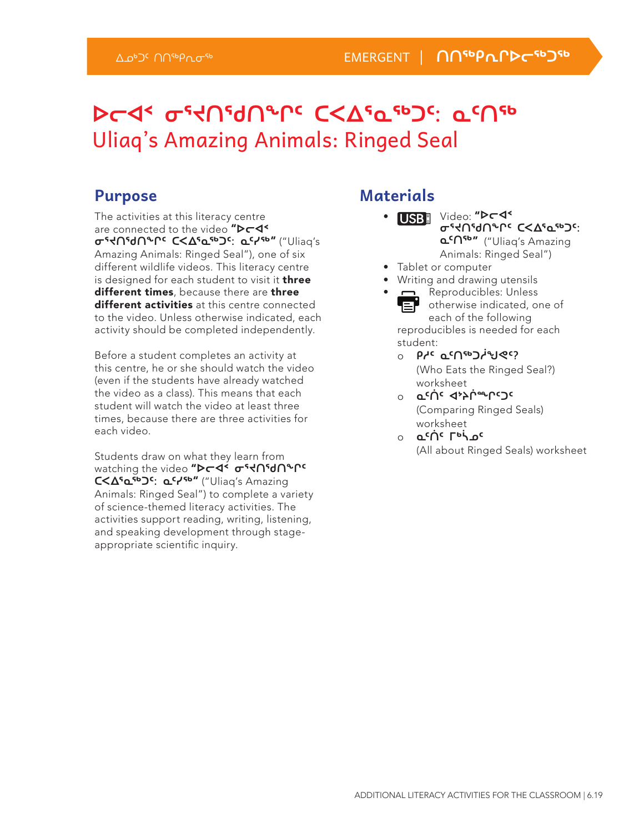## **ᐅᓕᐊᑉ ᓂᕐᔪᑎᖁᑎᖕᒋᑦ ᑕᐸᐃᕐᓇᖅᑐᑦ: ᓇᑦᑎᖅ**  Uliaq's Amazing Animals: Ringed Seal

#### **Purpose**

The activities at this literacy centre are connected to the video "D<sub>T</sub>4\* **ᓂᕐᔪᑎᖁᑎᖕᒋᑦ ᑕᐸᐃᕐᓇᖅᑐᑦ: ᓇᑦᓯᖅ**" ("Uliaq's Amazing Animals: Ringed Seal"), one of six different wildlife videos. This literacy centre is designed for each student to visit it **three** different times, because there are three different activities at this centre connected to the video. Unless otherwise indicated, each activity should be completed independently.

Before a student completes an activity at this centre, he or she should watch the video (even if the students have already watched the video as a class). This means that each student will watch the video at least three times, because there are three activities for each video.

Students draw on what they learn from watching the video "**▷**⊂◀ · σ's∩'d∩°Ր **ᑕᐸᐃᕐᓇᖅᑐᑦ: ᓇᑦᓯᖅ**" ("Uliaq's Amazing Animals: Ringed Seal") to complete a variety of science-themed literacy activities. The activities support reading, writing, listening, and speaking development through stageappropriate scientific inquiry.

#### **Materials**

- USB Video: "Dr4" **ᓂᕐᔪᑎᖁᑎᖕᒋᑦ ᑕᐸᐃᕐᓇᖅᑐᑦ: ᓇᑦᑎᖅ**" ("Uliaq's Amazing Animals: Ringed Seal")
- Tablet or computer
- Writing and drawing utensils
- **n** Reproducibles: Unless 'E otherwise indicated, one of each of the following reproducibles is needed for each student:
	- ⊙ ∂o مار <del>ס</del>در *o* (Who Eats the Ringed Seal?) worksheet
	- ⊙ σ<sub>ε</sub>ψε ⊲≽ψ<del>☞</del>სი⊃ε (Comparing Ringed Seals) worksheet
	- ⊙ **ِ ط°∩⊂ ا**¤فاع د (All about Ringed Seals) worksheet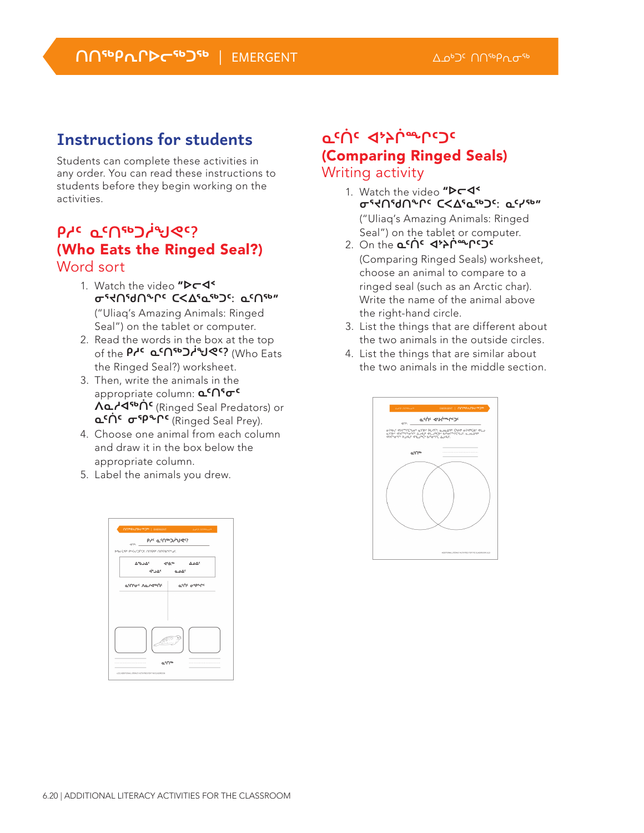#### **Instructions for students**

Students can complete these activities in any order. You can read these instructions to students before they begin working on the activities.

#### **ᑭᓱᑦ ᓇᑦᑎᖅᑐᓲᖑᕙᑦ?**  (Who Eats the Ringed Seal?) Word sort

- 1. Watch the video "**Pr4' ᓂᕐᔪᑎᖁᑎᖕᒋᑦ ᑕᐸᐃᕐᓇᖅᑐᑦ: ᓇᑦᑎᖅ**" ("Uliaq's Amazing Animals: Ringed Seal") on the tablet or computer.
- 2. Read the words in the box at the top of the **Pr<sup>c</sup> ፈናበጭጋ/ሚኖ?** (Who Eats the Ringed Seal?) worksheet.
- 3. Then, write the animals in the appropriate column: **α<sup>ς</sup>∩<sup>ς</sup>σ<sup>ς</sup> ᐱᓇᓱᐊᖅᑏᑦ** (Ringed Seal Predators) or **ᓇᑦᑏᑦ ᓂᕿᖕᒋᑦ** (Ringed Seal Prey).
- 4. Choose one animal from each column and draw it in the box below the appropriate column.
- 5. Label the animals you drew.

| <b>NOWPAPPC®D®   EMERGENT</b>                                                               | Applications                      |
|---------------------------------------------------------------------------------------------|-----------------------------------|
| <b>טאין סייטישיש</b> אי<br>dO <sup>N</sup> :                                                |                                   |
| Photos essential answer priserent                                                           |                                   |
| $\nabla_e \rho \rightarrow \nabla_c$ $\blacktriangleleft_e \theta_{eP}$ $\nabla^2 \nabla_c$ |                                   |
| ء∆مـه مـه∠وّ                                                                                |                                   |
| <b>α'Π'σ'</b> Λα. Αιθής                                                                     | יי <i>פ</i> י∩נ ⊄ <sub>ל</sub> ט∍ |
|                                                                                             |                                   |
| σ <sub>ε</sub> ∪ <sub>ερ</sub><br>----------------                                          | ---------------                   |

#### **ᓇᑦᑏᑦ ᐊᔾᔨᒌᙱᑦᑐᑦ**  (Comparing Ringed Seals) Writing activity

- 1. Watch the video "D<sub>C</sub>I **ᓂᕐᔪᑎᖁᑎᖕᒋᑦ ᑕᐸᐃᕐᓇᖅᑐᑦ: ᓇᑦᓯᖅ**" ("Uliaq's Amazing Animals: Ringed Seal") on the tablet or computer.
- 2. On the **ჲ<sup>c</sup>∩٬ ∢ንነ<sup>ሎ</sup>ዯርጋ٬** (Comparing Ringed Seals) worksheet, choose an animal to compare to a ringed seal (such as an Arctic char). Write the name of the animal above the right-hand circle.
- 3. List the things that are different about the two animals in the outside circles.
- 4. List the things that are similar about the two animals in the middle section.

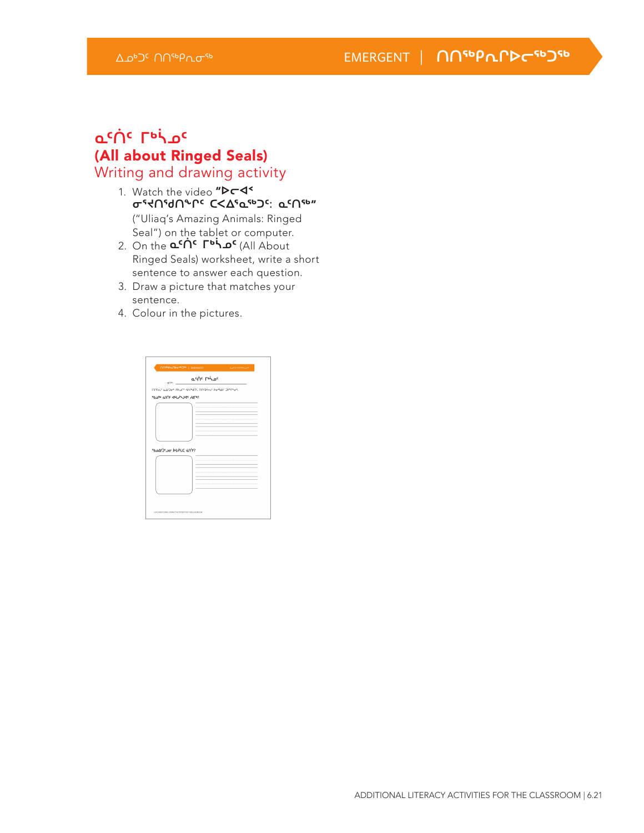#### **ᓇᑦᑏᑦ ᒥᒃᓵᓄᑦ**  (All about Ringed Seals) Writing and drawing activity

- 1. Watch the video "**Pr4' ᓂᕐᔪᑎᖁᑎᖕᒋᑦ ᑕᐸᐃᕐᓇᖅᑐᑦ: ᓇᑦᑎᖅ**" ("Uliaq's Amazing Animals: Ringed Seal") on the tablet or computer.
- 2. On the **ᓇᑦᑏᑦ ᒥᒃᓵᓄᑦ** (All About Ringed Seals) worksheet, write a short sentence to answer each question.
- 3. Draw a picture that matches your sentence.
- 4. Colour in the pictures.

| dO%:                  | acnc ruise                                      |  |
|-----------------------|-------------------------------------------------|--|
|                       | nnsní aldat Phuri svitáří nnsktiv katké Jermat. |  |
| SOUL SOUND SUS SUS    |                                                 |  |
|                       |                                                 |  |
|                       |                                                 |  |
|                       |                                                 |  |
|                       |                                                 |  |
|                       |                                                 |  |
|                       |                                                 |  |
| SheASS-arr PLELC 6509 |                                                 |  |
|                       |                                                 |  |
|                       |                                                 |  |
|                       |                                                 |  |
|                       |                                                 |  |
|                       |                                                 |  |
|                       |                                                 |  |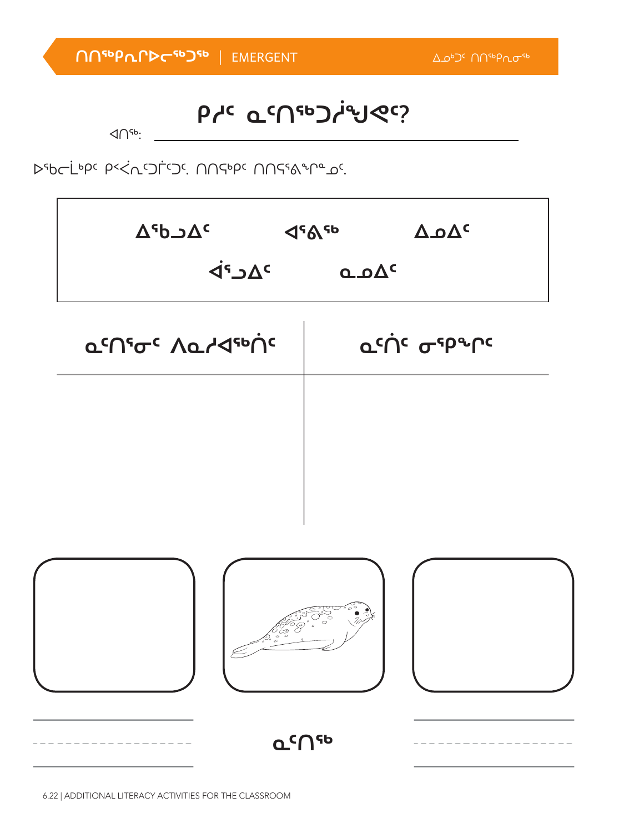| $\circ$            |  |
|--------------------|--|
| Ⴍ <sup>c</sup> ∩ናь |  |

| $\Delta$ <sup>s</sup> b $\Delta$ <sup>c</sup> | 4585               | $\Delta \mathbf{Q}^{\mathsf{c}}$ |
|-----------------------------------------------|--------------------|----------------------------------|
| $\overline{P}$ د <sup>7</sup>                 | $Q \cdot \Delta C$ |                                  |

**a<sup>c</sup>∩´σ´ Λα/⊲** της Γιάνιστης

ᐅᖃᓕᒫᒃᑭᑦ ᑭᑉᐹᕆᑦᑐᒦᑦᑐᑦ. ᑎᑎᕋᒃᑭᑦ ᑎᑎᕋᕐᕕᖕᒋᓐᓄᑦ.

#### $\triangle$   $\triangle$

# **ᑭᓱᑦ ᓇᑦᑎᖅᑐᓲᖑᕙᑦ?**

**ᑎᑎᖅᑭᕆᒋᐅᓕᖅᑐᖅ** | EMERGENT ᐃᓄᒃᑐᑦ ᑎᑎᖅᑭᕆᓂᖅ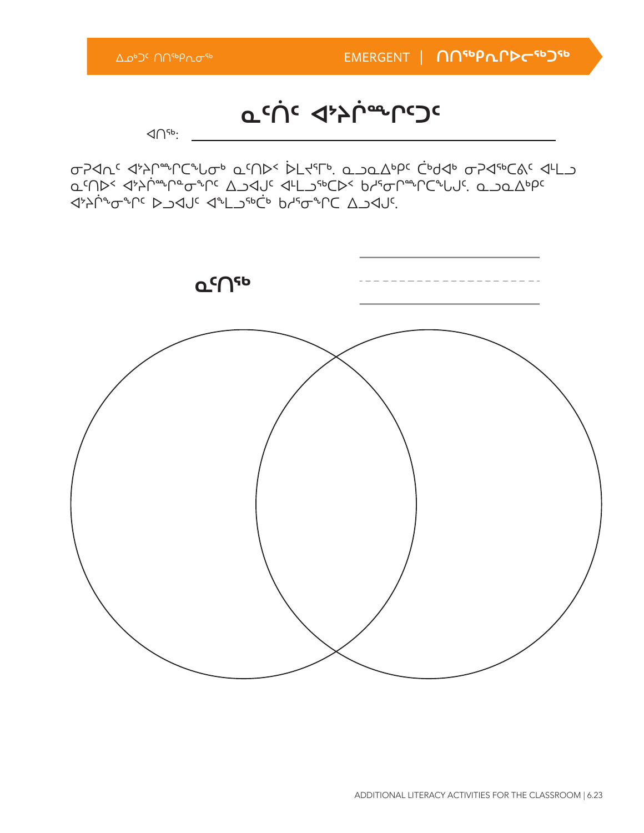

σΡΑΛ<sup>ς</sup> Δ<sup>μ</sup>λητιστής Φίλος Νομεράς Φιλοντος Φίλος Φιλοντος Φίλος **Δ'ՈϷ< Ϥ<sup>;</sup>Α'Ր «ϮͲ**· ΔϽϤͿς ϤͰΓϽ<sub>ͼ</sub>ϷϹϷ< *Ρ*ΊͼϤ<sub>Ψ</sub>ιΟς ͲͼʹͿϹͼͲϒϹʹʹ ᐊᔾᔨᒌᖕᓂᖏᑦ ᐅᓗᐊᒍᑦ ᐊᖕᒪᓗᖅᑖᒃ ᑲᓱᕐᓂᖏᑕ ᐃᓗᐊᒍᑦ.

**ᓇᑦᑏᑦ ᐊᔾᔨᒌᙱᑦᑐᑦ**

 $\triangleleft$   $\cap$ <sup>56</sup>:

ᐃᓄᒃᑐᑦ ᑎᑎᖅᑭᕆᓂᖅ EMERGENT | **ᑎᑎᖅᑭᕆᒋᐅᓕᖅᑐᖅ**